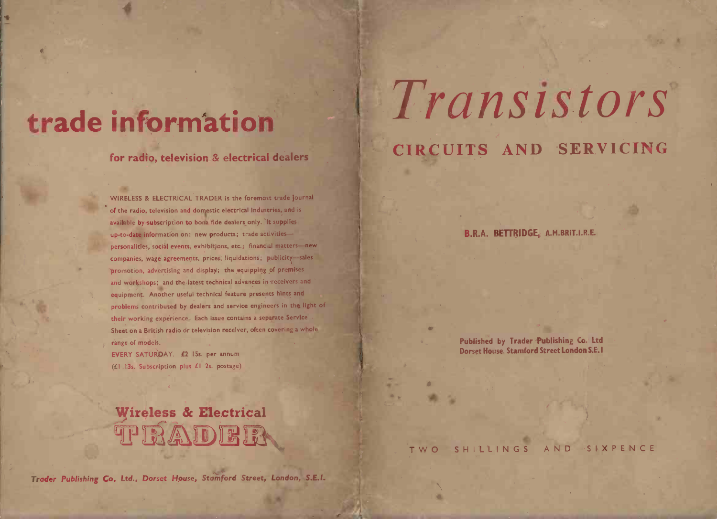# trade information information

WIRELESS & ELECTRICAL TRADER is the foremost trade journa<br>of the radio, television and domestic electrical industries, and is WIRELESS & ELECTRICAL TRADER is the foremost trade for the radio, television and domestic ele<mark>ctrical industries, and</mark><br>available by subscription to bona fide dealers only. 'It supplies of the radio, television and domestic electrical industries, and is<br>available by subscription to bona fide dealers only. It supplies<br>up-to-date information on: new products; trade activitiespersonalities, social events, exhibitions, etc.; financial matters-new up-to-d<mark>ate info</mark>rmation on: new products; trade activities—<br>personalities, social events, exhibitions, etc.; financial matters—ne<br>companies, wage agreements, prices; liquidations; publicity—sales personalities, social events, exhibitions, etc.; financial matters—<br>companies, wage agreements, prices, liquidations; publicity—si<br>promotion, advertising and display; the equipping of premises companies, wage agreements, prices; liquidations; publicity—sales<br>promotion, advertising and display; the equipping of premises<br>and workshops; and the latest technical advances in receivers and promotion, advertising and display; the equipping of premises<br>and workshops; and the latest technical advances in receivers and<br>equipment. Another useful technical feature presents hints and problems contributed by dealers and service engineers in the light of their working experience. Each issue contains a separate Service Sheet on a British radio or television receiver, often covering a whole sheet on a British radio or television receiver, often covering a whole range of models.<br>EVERY SATURDAY.  $\epsilon_2$  15s. per annum Sheet on a British radio or television receiver, often covering a whole range of models. Trader Publishing Co. Ltd., Dorset House, Stamford Street, London, S.E.I. Transistors CIRCUITS AND SERVICING B.R.A. BETTRIDGE, A.M.BRIT.I.R.E.

**EVERY SATURDAY. £2 15s.** per annum<br>(£1 13s. Subscription plus £1 2s. postage)



endies<br>Published by Trader Publishing Co. Ltd<br>Co. Ltd .<br>Published by T<mark>rader Publishing Co. Ltd</mark><br>Dorset House. Stamford Street Londo**n S.**E. I

r

a

TWO SHILLINGS AND SIXPENCE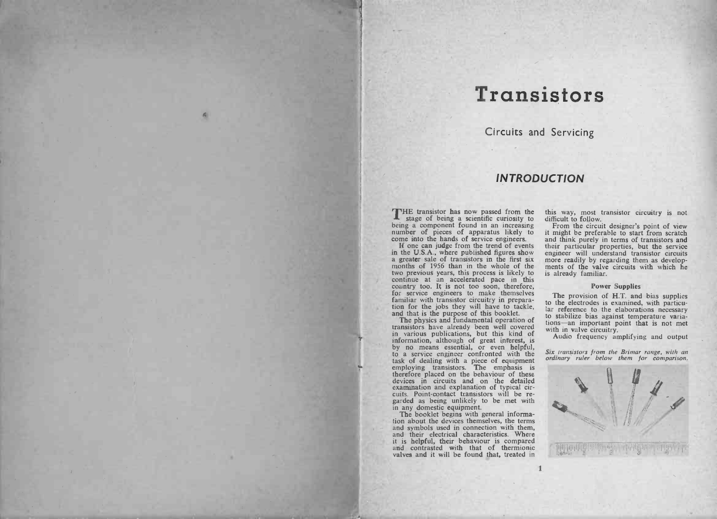# Transistors **Tansistor**<br>Circuits and Servicing

# Circuits and Servicing<br>INTRODUCTION

**INTROI**<br>
THE transistor has now passed from the<br>
stage of being a scientific curiosity to<br>
being a component found in an increasing<br>
number of pieces of apparatus likely to<br>
come into the hands of service engineers.<br>
If o

a greater sale of the first six more than it is a greater sale of the first six moment of pieces of apparatus likely to come into the hands of service engineers.<br>If one can judge from the trend of events in the U.S.A., whe number of pieces of apparatus likely to<br>come into the hands of service engineers.<br>If one can judge from the trend of events<br>in the U.S.A., where published figures show<br>greater sale of transitors in the first six<br>months of

information, although of great interest, is<br>information, although of great interest, is<br>by no means essential, or even helpful,<br>to a service engineer confronted with the<br>therefore placed on the behaviour of these<br>devices i task of dealing with a piece of equipment<br>employing transistors. The emphasis is<br>therefore placed on the behaviour of these<br>devices in circuits and on the detailed<br>examination and explanation of typical cir-<br>cuits. Point-c

The booklet begins with general information about the devices themselves, the terms and symbols used in connectionic with that is helpful, their behaviour is compared and contrasted with that of thermionic valves and it wi

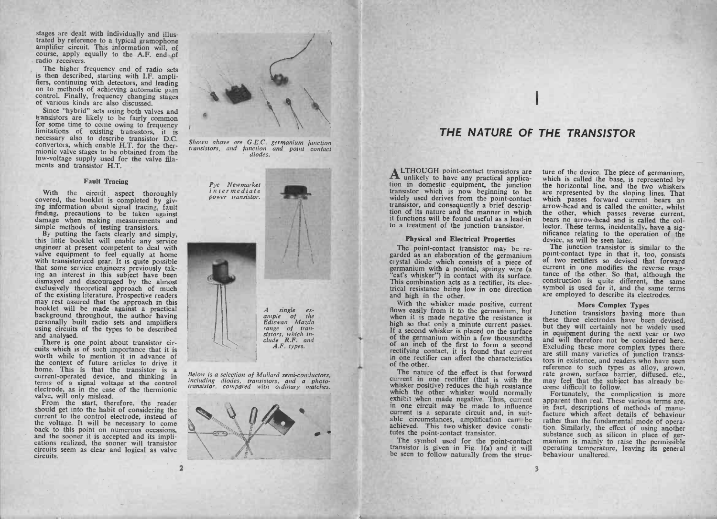stages are dealt with individually and illus-<br>trated by reference to a typical gramophone stages are dealt with individually and illustrated by reference to a typical gramophone amplifier circuit. This information will, of course, apply equally to the A.F. end of radio receivers.

amplifier circuit. This information will, of course, apply equally to the A.F. end of radio sets is then described, starting with I.F. amplifiers, continuing with detectors, and leading on to methods of achieving automatic is then described, starting with I.F. amplifiers, continuing with detectors, and leading on to methods of achieving automatic gain control. Finally, frequency changing stages of various kinds are also discussed.

Since "hybrid" sets using both valves and transistors are likely to be fairly common for some time to come owing transistors, it is is necessary also to describe transistors, it is is for some time to come owing to frequency limitations of existing transistors, it is necessary also to describe transistor D.C. convertors, which enable H.T. for the thermionic valve stages to be obtained from the ments and mionic valve stages to be obtained from the<br>low-voltage supply used for the valve fila-<br>ments and transistor H.T.<br>Fault Tracing

Now-voltage supply used for the valve filaments and transistor H.T.<br>Fault Tracing<br>With the circuit aspect thoroughly<br>covered, the booklet is completed by giv-<br>ing information about signal tracing, fault Finding, precautions to be taken against developed all the booklet is completed by giving information about signal tracing, fault damage when making measurements and simple methods of testing transistors. By putting the fa

finding, precautions to be taken against<br>damage when making measurements and<br>simple methods of testing transistors.<br>By putting the facts clearly and simply,<br>this little booklet will enable any service<br>engineer at present c ing an interest in this subject have been<br>dismayed and discouraged by the almost<br>exclusively theoretical approach of much<br>of the existing literature. Prospective readers<br>may rest assured that the approach in this<br>booklet w background throughout, the author having<br>personally built radio sets and amplifiers<br>using circuits of the types to be described<br>and analysed.<br>There is one point about transistor cir-<br>cuits which is of such importance that

using circuits of the types to be described<br>and analysed.<br>There is one point about transistor cir-<br>cuits which is of such importance that it is<br>worth while to mention it in advance of<br>the context of future articles to driv There is one point about transistor circuits which is of such importance that it is worth while to mention it in advance of the context of future articles to drive it home. This is that the transistor is a current-operated

home. This is that the transistor is a<br>current-operated device, and thinking in<br>terms of a signal voltage at the control<br>electrode, as in the case of the thermionic<br>valve, will only mislead.<br>From the start, therefore, the



<sup>A</sup> single ex- A single ex-<br>ample of the<br>Ediswan Mazda *A* single ex-<br>ample of the<br>Ediswan Mazda<br>range of tran-<br>sistors, which in-<br>clude R.F. and ors, which<br>de **R.F**.<br>A.F. type<mark>s</mark>.

Below is a selection of Mullard semi-conductors. *A.F. types.*<br>
Below is a selection of Mullard semi-conductors,<br>
including diodes, transistors, and a photo-<br>
transistor, compared with ordinary matches.



### THE NATURE OF THE TRANSISTOR

I

**ALTHOUGH** point-contact transistors are<br>
unlikely to have any practical applica-<br>
tion in domestic equipment, the junction<br>
transistor which is now beginning to be<br>
widely used derives from the point-contact<br>
transistor, ition in domestic equipment, the junction<br>transistor which is now beginning to be<br>widely used derives from the point-contact<br>transistor, and consequently a brief descrip-<br>tion of its nature and the manner in which<br>it funct tion of its nature and the manner in whit<br>it functions will be found useful as a lead<br>to a treatment of the junction transistor. to a treatment of the junction transistor.<br>Physical and Electrical Properties widely used derives from the point-contact<br>transistor, and consequently a brief descrip-<br>tion of its nature and the manner in which<br>it functions will be found useful as a lead-in<br>to a treatment of the junction transistor.<br>

The point-contact transistor may be re-**Crystal and Electrical Properties**<br>The point-contact transistor may be re-<br>garded as an elaboration of the germanium<br>germanium with a pointed, springy wire (a<br>"cat's whisker") in contact with its surface.<br>This combination garded as an elaboration of the germanium<br>crystal diode which consists of a piece of<br>germanium with a pointed, springy wire (a<br>"cat's whisker") in contact with its surface.<br>This combination acts as a rectifier, its elec-<br>t

This combination acts as a rectifier, its electrical resistance being low in one direction<br>and high in the other.<br>With the whisker made positive, current<br>flows easily from it to the germanium, but<br>when it is made negative It a second whisker is placed on the surface<br>of the germanium within a few thousandths<br>of an inch of the first to form a second<br>rectifying contact, it is found that current<br>in one rectifier can affect the characteristics<br>o rectifying contact, it is found that current<br>in one rectifier can affect the characteristics<br>of the other.

The nature of the effect is that forward<br>current in one rectifier (that is with the<br>whisker positive) reduces the high resistance<br>which the other whisker would normally<br>exhibit when made negative. Thus, current<br>in one circ tutes the point -contact transistor.

The symbol used for the point -contact transistor is given in Fig. 1(a) and it will be seen to follow naturally from the struc-

ture of the device. The piece of germanium, which is called the base, is represented by the shoring and the base is an term of the form and carrow-head and is called the emitter, whilst the other, which passs forward curre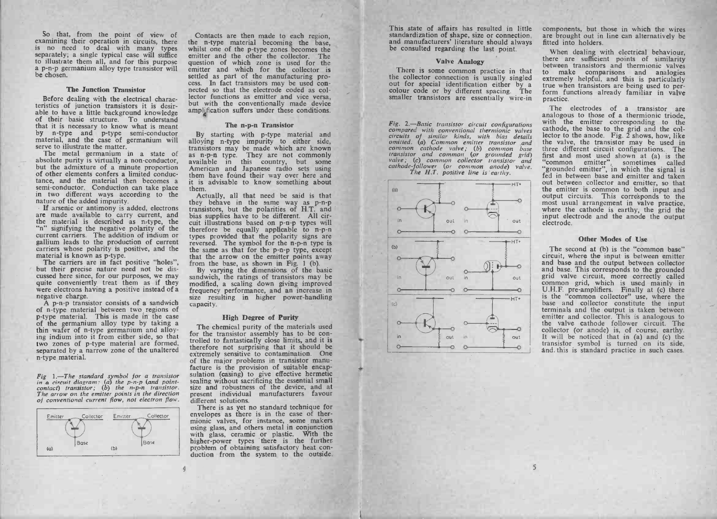So that, from the point of view of examining their operation in circuits, there is no need to deal with many types So that, from the point of view of<br>examining their operation in circuits, there<br>s no need to deal with many types<br>eeparately; a single typical case will suffice<br>to illustrate them all, and for this purpose separately; a single typical case will suffice<br>to illustrate them all, and for this purpose<br>a p-n-p germanium alloy type transistor will<br>be chosen. a p-n-p germanium alloy type transistor will<br>be chosen.<br>The Junction Transistor

Before dealing with the electrical charac-<br>teristics of junction transistors it is desir-<br>able to have a little background knowledge<br>of their basic structure. To understand able to have a little background knowledge<br>of their basic structure. To understand<br>that it is necessary to know what is meant<br>by n-type and p-type semi-conductor Before dealing with the electrical characteristics of junction transistors it is desir-<br>able to have a little background knowledge<br>of their basic structure. To understand<br>that it is necessary to know what is meant<br>por n-ty able to have a little background knowledge<br>of their basic structure. To understand<br>that it is necessary to know what is meant<br>material, and the case of germanium will<br>serve to illustrate the matter.<br>The metal germanium in

serve to illustrate the matter.<br>The metal germanium in a state of absolute purity is virtually a non-conductor,<br>but the admixture of a minute proportion<br>of other elements confers a limited conduc-<br>tance, and the material t absolute purity is virtually a non-conductor,<br>absolute purity is virtually a non-conductor,<br>but the admixture of a minute proportion<br>of other elements confers a limited conductor.<br>conductor, Conduction can take place<br>in tw

are made available to carry current, and<br>the material is described as n-type, the<br>"n" signifying the negative polarity of the<br>current carriers. The addition of indium or<br>gallium leads to the production of current<br>carriers

gallium leads to the production of current<br>carriers whose polarity is positive, and the<br>material is known as p-type.<br>The carriers are in fact positive "holes",<br>but their precise nature need not be dis-<br>cussed here since, f but their precise nature need not be discussed here since, for our purposes, we may quite conveniently treat them as if they were electrons having a positive instead of a sandwich  $\Delta p$ -n-p transistor consists of a sandwic

quite conveniently treat them as if they<br>were electrons having a positive instead of a<br>head of n-type material between two regions of<br>p-type material. This is made in the case<br>of the germanium alloy- type germanium and all p-type material. This is made in the case<br>of the germanium alloy type by taking a<br>thin wafer of n-type germanium and alloy-<br>ing indium into it from either side, so that<br>separated by a narrow zone of the unaltered<br>n-type m

**rigontact**) **transistor**<br> **Fig** 1.—The standard symbol for a transistor<br>
in a circuit diagram: (a) the n-p-n transistor.<br> **Conventional current flow, not electron flow.**<br> *of conventional current flow, not electron flow.* 





components, but those in which the wires<br>are brought out in line can alternatively be<br>fitted into holders.<br>When dealing with electrical behaviour,<br>there are sufficient points of similarity to<br>the meaning with electrical b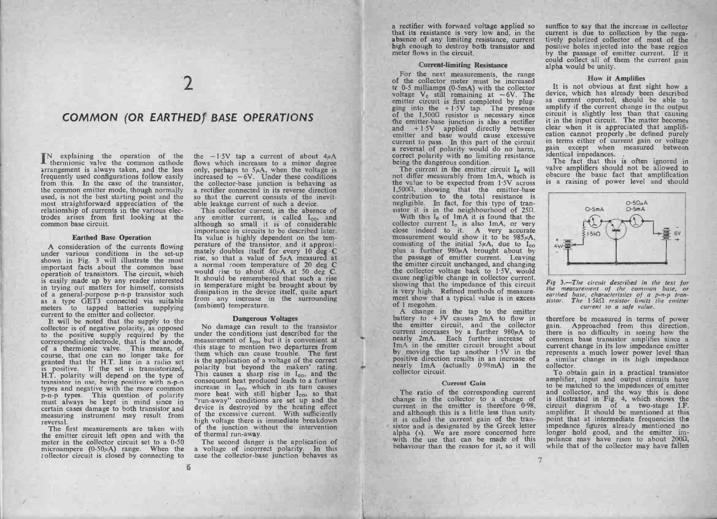$\frac{1}{2}$ 

### COMMON (OR EARTHED) BASE OPERATIONS

**COMMON (OR EARTH**<br>
IN explaining the operation of the<br>
Intermionic valve the common cathode **IN explaining the operation of the thermionic valve the common cathode arrangement is always taken, and the less frequently used configurations follow easily from this. In the case of the transistor,** IN explaining the operation of the<br>arrangement is always taken, and the less<br>frequently used configurations follow easily<br>from this. In the case of the transistor,<br>the common emitter mode, though normally<br>used, is not the used, is not the best starting point and the<br>most straightforward appreciation of the<br>relationship of currents in the various elec-<br>trodes arises from first looking at the<br>common base circuit.<br>**Earthed Base Operation** 

A consideration of the currents flowing under various conditions in the set-up shown in Fig. 3 will illustrate the most important facts about the common base operation of transistors. The circuit, which **Earthed Base Operation**<br>onder various conditions in the set-up<br>shown in Fig. 3 will illustrate the most<br>important facts about the common base<br>operation of transistors. The circuit, which<br>is easily made up by any reader in peration of transistors. The circuit, which<br>is easily made up by any reader interested<br>in trying out matters for himself, consists<br>of a general-purpose p-n-p transistor such<br>bata a type GET3 connected via suitable<br>meters t in trying out matters for himself, consists<br>of a general-purpose p-n-p transistor such<br>as a type GET3 connected via suitable<br>meters to tapped batteries supplying<br>current to the emitter and collector is of negative polarity

as a type GET3 connected via suitable<br>meters to tapped batteries supplying<br>current to the emitter and collector.<br>It will be noted that the supply to the<br>collector is of negative polarity, as opposed<br>to the positive supply It will be inceduated the supply to the<br>corresponding electrode, that is the anode,<br>corresponding electrode, that is the anode,<br>of a thermionic valve. This means, of<br>course, that one can no longer take for of a thermionic valve. This means, of course, that one can no longer take for granted that the H.T. line in a radio set is on trigancy positive supply required by the corresponding electrode, that is the anode, of a thermionic valve. This means, of course, that one can no longer take for granted that the H.T. line in a radio set is transist p ranted that the H.T. line in a radio set<br>is positive. If the set is transistorized,<br>H.T. polarity will depend on the type of<br>types and negative with the more common<br>p-n-p types. This question of polarity<br>must always be k types and negative with the more common<br>p-n-p types. This question of polarity<br>must always be kept in mind since in<br>certain cases damage to both transistor and<br>measuring instrument may result from<br>reversal.<br>The first measu ertain cases damage to both transistor and<br>measuring instrument may result from<br>reversal.<br>The first measurements are taken with<br>the emitter circuit left open and with the<br>meter in the collector circuit set to a 0-50

microampere ( $0-50\mu$ A) range. When the collector circuit is closed by connecting to

6 the -1.5V tap a current of about 4pA flows which increases to a minor degree only, perhaps to 511A, when the voltage is increased to - 6V. Under these conditions the collector -base junction is behaving as a rectifier connected in its reverse direction so that the current consists of the inevit- able leakage current of such a device. This collector current, in the absence of any emitter current, is called Ieo, and although so small it ii- of considerable importance in circuits to be described later. Its value is highly dependent on the tem- perature of the transistor, and it approxi- mately doubles itself for every 10 deg C rise, so that a value of 5ILA measured at a normal room temperature of 20 deg C would rise to about 40/1A at 50 deg C. It should be remembered that such a rise in temperature might be brought about by dissipation in the device itself, quite apart from any increase in the surrounding (ambient) temperature. Dangerous Voltages No damage can result to the transistor under the conditions just described for the measurement of Ieo, but it is convenient at /this stage to mention two departures from them which can cause trouble. The first is the application of a voltage of the correct polarity but beyond the makers' rating. This causes a sharp rise in leo, and the consequent heat produced leads to a further increase in leo, which in its turn causes more heat with still higher Too, so that "run -away" conditions are set up and the device is destroyed by the heating effect of the excessive current. With sufficiently high voltage there is immediate breakdown of the junction without the intervention of thermal run -away. The second danger is the application of a voltage of incorrect polarity. In this case the collector -base junction behaves as a rectifier with forward voltage applied so that its resistance is very low and, in the absence of any limiting resistance, current high enough to destroy both transistor and meter flows in the circuit. Current -limiting Resistance For the next measurements, the range of the collector meter must be increased to 0-5 milliamps (0-5mA) with the collector voltage Ve still remaining at -6V. The emitter circuit is first completed by plug- <sup>g</sup>ing into the + 1.5V tap. The presence of the 1,50012 resistor is necessary since the emitter -base junction is also a rectifier and + 1.5V applied directly between emitter and base would cause excessive current to pass. In this part of the circuit a reversal of polarity would do no harm, correct polarity with no limiting resistance being the dangerous condition. The current in the emitter circuit Ie will not differ measurably from lmA, which is the value to be expected from 1.5V across 1,5001, showing that the emitter -base contribution to the total resistance is negligible. In fact, for this type of tran- sistor it is in the neighbourhood of 2551. With this L of lmA it is found that the collector current Ic is also ImA, or very close indeed to it. A very accurate measurement would show it to be 985µA, consisting of the initial 5µA, due to Ico <sup>p</sup>lus a further 980µA brought about by the passage of emitter current. Leaving the emitter circuit unchanged, and changing the collector voltage back to 1.5V, would cause negligible change in collector current, showing that the impedance of this circuit is very high. Refined methods of measure- ment show that a typical value is in excess of 1 megohm. A change in the tap to the emitter battery to + 3V causes 2mA to flow in the emitter circuit, and the collector current increases by a further 980pA to nearly 2mA. Each further increase of 1 mA in the emitter circuit brought about by moving the tap another 1.5V in the positive direction results in an increase of nearly lmA (actually 0.98mA) in the collector circuit.Current Gain The ratio of the corresponding current change in the collector to a change of current in the emitter is therefore 0.98, and although this is a little less than unity it is called the current, gain of the tran- sistor and is designated by the Greek letter alpha (s). We are more concerned here with the use that can be made of this behaviour than the reason for it, so it will.7 sunffice to say that the increase in collector current is due to collection by the nega- tively polarized collector of most of thepositive holes injected into the base region by the passage of emitter current. If it could collect all of them the current gain alpha would be unity. How it Amplifies It is not obvious at first sight how a device, which has already been described as current operated, should be able to amplify if the current change in the output circuit is slightly less than that causing it in the input circuit. The matter becomes clear when it is appreciated that amplifi- cation cannot properly be defined purely in terms either of current gain or voltage gain excep<sup>t</sup> when measured between identical impedances. . The fact that this is often ignored in valve amplifiers should not be allowed to obscure the basic fact that amplification is a raising of power level and should Fig 3.-The circuit described in the text for the measurement of the common base, or earthed base, characteristics of a p -n -p tran- sistor. The 1-51c f2 resistor limits the emitter current to a safe value. therefore be measured in terms of power gain. Approached from this direction, there is no difficulty in seeing how the common base transistor amplifies since a current change in its low impedance emitter represents a much lower power level than a similar change in its high impedance collector. To obtain gain in a practical transistor amplifier, input and output circuits have to be matched to the, impedances of emitter and collector, and the way this is done is illustrated in Fig. 4, which shows the circuit diagram of <sup>a</sup> two -stage I.F. amplifier. It should be mentioned at this point that at intermediate frequencies the impedance figures already mentioned no longer hold good, and the emitter im- pedance may have risen to about 200C1, while that of the collector may have fallen

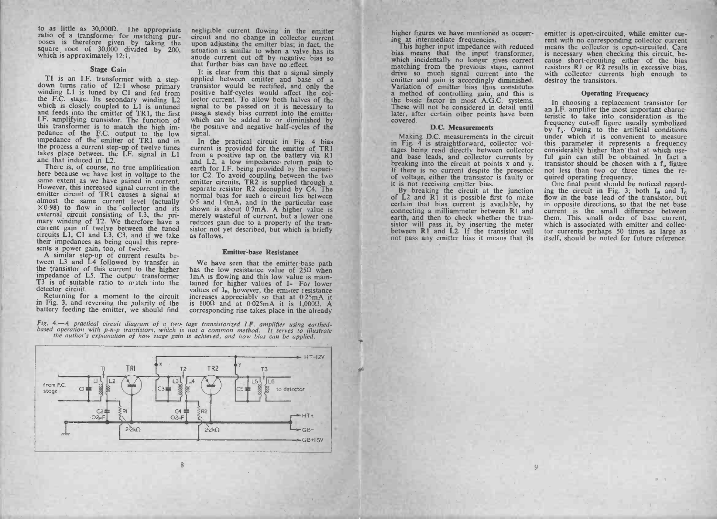to as little as  $30,000\Omega$ . The appropriate ratio of a transformer for matching pur-<br>poses is therefore given by taking the to as little as  $30,000\Omega$ . The appropriate<br>ratio of a transformer for matching pur-<br>poses is therefore given by taking the<br>square root of  $30,000$  divided by  $200$ ,<br>which is approximately 12:1. poses is therefore given by taking the<br>square root of  $30,000$  divided by 200,<br>which is approximately 12:1.<br>**Stage Gain**<br>T1 is an I.F. transformer with a step-

to as little as 30,000 $\Omega$ . The appropriate<br>ratio of a transformer for matching pur-<br>rosses is therefore given by taking the<br>square root of 30,000 divided by 200,<br>which is approximately 12:1.<br>**Stage Gain**<br>T1 is an I.F. tr down turns ratio of 12:1 whose primary winding L1 is tuned by C1 and fed from the F.C. stage. Its secondary winding L2 which is closely coupled to L1 is untuned and feds in the I.F. amplifying transitor. The function of t

There is, of course, no true amplification here because we have lost in voltage to the same extent as we have gained in current. However, this increased signal current in the and that induced in L2.<br>There is, of course, no true amplification<br>here because we have lost in voltage to the<br>same extent as we have gained in current.<br>However, this increased signal at almost the same current level (act mowever, this increased signal current in the emitter circuit of TR1 causes a signal at almost the same current level (actually  $\times$ 0.98) to flow in the collector and its external circuit consisting of L3, the primary win external circuit consisting of L3, the pri-<br>mary winding of T2. We therefore have a<br>circuits Li, C1 and L3, C3, and if we take<br>circuits Li, C1 and L3, C3, and if we take<br>their impedances as being equal this repre-<br>sents a

 $T_3$  is of suitable ratio to  $\hat{m}$  atch into the detector circuit.

Returning for a moment to the circuit in Fig. 3, and reversing the polarity of the battery feeding the emitter, we should find

to as little as 30,0000. The appropriate negligible current flowing in the emitterito of a transformer for matching pur-<br>error of 2000 and the change in collector current and the signal endomentation of the signal impleme

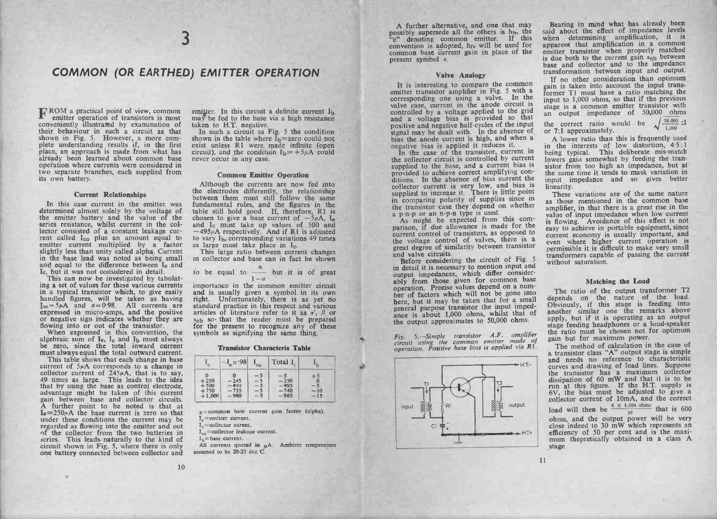# 3<br>
COMMON (OR EARTHED) EMITTER OPERATION

FROM a practical point of view, common emitter operation of transistors is most conveniently illustrated by examination of their behaviour in such a circuit as that **F** emitter operation of transistors is most conveniently illustrated by examination of their behaviour in Fig. 5. However, a more com-<br>plete understanding results if, in the first place, an approach is made from what has **FROWER CONSIDERED CONSIDERED** conveniently illustrated by examination of their behaviour in such a circuit as that shown in Fig. 5. However, a more complete understanding results if, in the first place, an approach is mad operation where currents were considered in<br>two separate branches, each supplied from<br>its own battery.<br>Current Relationships

the solution of the set of the term of the set of the matter of the mitter was determined almost solely by the voltage of the emitter battery and the value of the emitter battery and the value of the lector consisted of a

This can now be investigated by tabulating a set of values for these various currents<br>in a typical transistor which, to give easily<br>handled figures, will be taken as having<br> $I_{\text{oo}} = 5\mu A$  and  $a = 0.98$ . All currents are<br> in a stypical transistor these various currents<br>in a stypical transistor which, to give easily<br>handled figures, will be taken as having<br> $I_{\text{oo}} = 5\mu A$  and  $a = 0.98$ . All currents are<br>expressed in micro-amps, and the posi

This table shows that each change in base current of  $245\mu$ A, that is to say, 49 times as large. This leads to the idea that by using the base as control electrode, advantage might be taken of this current gain between b regard between base and collector circuits.<br>A further point to be noted is that at  $I_0 = 250\mu A$  the base current is zero so that<br>under these conditions the current may be<br>regarded as flowing into the emitter and out<br>of t **Series.** This leads naturally to the kind of the circuit shown in the circuit shown in Fig. 5, where there is only one battery connected between collector and one battery connected between collector and one battery conne

**ED)** ENVITTENT UPERATION<br>
1 emitter. In this circuit a definite current I<sub>b</sub><br>
in my be fed to the base via a high resistance<br>
in a science of H.T. regardwere  $\hat{b}_1 = 2\cos \omega$  could not<br>
sciencity, and the could be where

to vary I<sub>b</sub>, corresponding variations 49<sup>'</sup> times<br>as large must take place in I<sub>c</sub>.<br>This large ratio between current changes<br>in collector and base can in fact be shown<br>to be equal to  $\frac{a}{1-a}$  but it is of great

I his large ratio between current changes<br>in collector and base can in fact be shown<br>to be equal to  $\frac{a}{1-a}$  but it is of great<br>importance in the common emitter circuit<br>and is usually given a symbol in its own<br>right. Un step so that the reader must be proton the present to recognize any of symbols as signifying the same thing.<br>Transistor Characteris Table

| <b>Transistor Characteris Table</b> |                  |                              |                  |             |
|-------------------------------------|------------------|------------------------------|------------------|-------------|
|                                     | $-I_e \times 98$ | $I_{c0}$                     | Total I          |             |
| $\bf{0}$                            |                  |                              | $-5$             | $^{+5}_{0}$ |
| $+250$<br>$+500$                    | $-245$<br>$-490$ | $-5$<br>$-5$<br>$-5$<br>$-5$ | $-250$<br>$-495$ | $-5$        |
| $+750$                              | $-735$           |                              | $-740$           | $-10$       |
| $+1,000$                            | $-980$           | $-5$                         | $-985$           | $-15$       |

 $I_e$ =emitter current.<br> $I_e$ =collector curent.

 $I_6$ =collector curent.<br> $I_6$ =collector leakage current.<br> $I_6$ =base current.

 $I_b$ = base current.<br>All currents quoted in  $\mu$ A. Ambient temperature assumed to be 20-25 deg C.



A further alternative, and one that may <br>
Bearing in mind what has already been<br>
possibly superaced all the others is ho, the said about the effect of impedance levels<br>
the "effortion communication" and the same of the sa

becommissible it is difficult to make very small transformers capable of passing the current without saturation.<br>
Matching the Load<br>
The ratio of the output transformer T2<br>
depends on the nature of the load.<br>
Obviously, i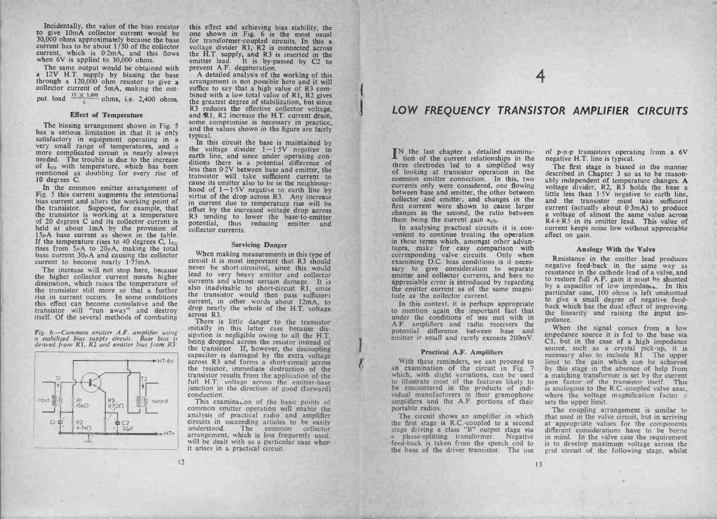Incidentally, the value of the bias resistor to give 10mA collector current would be  $30,000$  ohms approximately because the base current has to be about  $1/50$  of the collector current, which is 0.2mA, and this flows<br>when 6V is applied to 30,000 ohms.<br>The same output would be obtained with

a 12V H.T. supply by biasing the base through a 120,000 ohm resistor to give a collector current of 5mA, making the out- $\frac{1}{11}$ when 6V is applied to 30,000 ohms.<br>The same output would be obtained with<br>a 12V H.T. supply by biasing the base<br>through a 120,000 ohm resistor to give a<br>collector current of 5mA, making the out-<br>put load  $\frac{12 \times 1,000}{5}$ Effect of Temperature<br>
The biasing arrangement shown in Fig. 5<br>
Effect of Temperature<br>
The biasing arrangement shown in Fig. 5<br>
has a serious limitation in that it is only<br>
Satisfactory in equipment operating in a

**Effect of Temperature**<br>The biasing arrangement shown in Fig. 5<br>has a serious limitation in that it is only<br>satisfactory in equipment operating in a<br>very small range of temperatures, and a more complicated circuit is nearly always<br>needed. The trouble is due to the increase<br>of  $I_{\text{co}}$  with temperature, which has been mentioned as doubling for every rise of 10 degrees C.<br>In the common emitter arrangement of

of  $I_{CO}$  with temperature, which has been<br>mentioned as doubling for every rise of<br>10 degrees C.<br>In the common emitter arrangement of<br>Fig. 5 this current augments the intentional<br>bias current and alters the working point 15 $\mu$ A base current as shown in the table.<br>If the temperature rises to 40 degrees C, Ico<br>ties from 5 $\mu$ A to 20 $\mu$ A, making the total<br>current to become nearly 1.75mA.<br>The increase will not stop here, because<br>the higher

The increase will not stop here, because<br>the higher collector current means higher<br>dissipation, which raises the temperature of<br>the transistor still more so that a further<br>rise in current occurs. In some conditions<br>this ef The increase will not stop here, because<br>the higher collector current means higher<br>dissipation, which raises the temperature of<br>the transistor still more so that a further<br>this effect can become cumulative and the<br>transist Fig. 6. - Common emitter A.F. amplifier and the settler transistor will "run away" and destroy itself. Of the several methods of combating  $Fig. 6$ . - Common emitter A.F. amplifier using  $F$ ias is derived from R1, R2 and em



this effect and achieving bias stability, the<br>
one shown in Fig. 6 is the most usual voluge diver RI, R2 is the most usual<br>
voluge diver and Fig. 16 is the most usual when the H.T. supply, and R3 is inserted across<br>
the H

### LOW FREQUENCY TRANSISTOR AMPLIFIER CIRCUITS

ا<br>4

IN the last chapter a detailed examina-<br>
inco of the current relationships in the<br>
three electrodes led to a simplified way<br>
of looking at transistor operation in the<br>
common emitter connection. In this, two IN the last chapter a detailed examina-<br>tion of the current relationships in the<br>three electrodes led to a simplified way<br>of looking at transistor operation in the<br>common emitter connection. In this, two<br>currents only wer collector and emitter, and changes in the first current were shown to cause larger changes in the second, the ratio between them being the current gain  $x_0$ . In analysing practical circuits it is convenient to continue t

them being the current gain  $\alpha_{\rm cb}$ .<br>In analysing practical circuits it is convenient to continue treating the operation<br>in these terms which, amongst other advan-<br>tages, make for easy comparison with them being the current gain  $\alpha_{\text{cb}}$ .<br>In analysing practical circuits it is convenient to continue treating the operation<br>in these terms which, amongst other advan-<br>tages, make for easy comparison with<br>corresponding val venient to continue treating the operation<br>in these terms which, amongst other advan-<br>tages, make for easy comparison with<br>examining D.C. bias conditions is it neces-<br>sary to give consideration to separate<br>emitter and coll tages, make for easy comparison with<br>corresponding D.C. bias conditions is it neces-<br>sary to give consideration to separate<br>emitter and collector currents, and here no<br>appreciable error is introduced by regarding<br>the emitt sary to give consideration to separate emitter and collector currents, and here no appreciable error is introduced by regarding the emitter current as of the same magnitude as the collector current.<br>In this context, it is

to mention again the important fact that<br>under the conditions of use met with in<br>A.F. amplifiers and radio receivers the Figure as the collector current.<br>In this context, it is perhaps appropriate<br>to mention again the important fact that<br>under the conditions of use met with in<br>A.F. amplifiers and radio receivers the<br>potential difference betw pliners and radio reces<br>difference between l<br>small and rarely exceed<br>**Practical A.F. Amplifiers** 

A.F. ampliners and radio receivers the<br>potential difference between base and<br>emitter is small and rarely exceeds 200mV.<br>**Practical A.F. Amplifiers**<br>With these reminders, we can proceed to<br>an examination of the circuit in F amplifiers and the A.F. portions of the features likely to<br>be encountered in the products of indi-<br>vidual manufacturers in their gramophone<br>amplifiers and the A.F. portions of their<br>portable radios.<br>The circuit shows an am

amplifiers and the A.F. portions of their<br>portable radios.<br>The circuit shows an amplifier in which<br>the first stage is R.C.-coupled to a second<br>stage driving takes of the driver transistor. The use<br>feed-back is taken from t

**STOR AMPLIFIER CIRCUITS**<br> **STOR AMPLIFIER CIRCUITS**<br>
of p-n-p transistors operating from a 6V<br>
regative H.T. line is typical.<br>
The first stage is biased in the manner described in Chapter 3 so as to be reason-<br>
ably inde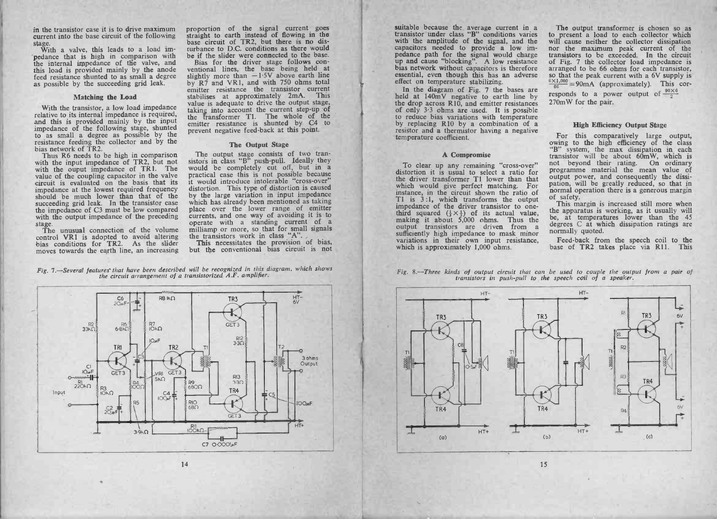in the transistor case it is to drive maximum<br>in the transistor case it is to drive maximum in the transistor case it is to drive maximum<br>current into the base circuit of the following in the transistor case it is to drive maximum<br>current into the base circuit of the following<br>stage.<br>With a valve, this leads to a load im-

in the transistor case it is to drive maximum<br>current into the base circuit of the following<br>stage.<br>With a valve, this leads to a load im-<br>pedance that is high in comparison with<br>the internal impedance of the valve, and<br>th this load is provided mainly by the anode feed resistance shunted to as small a degree as possible by the succeeding grid leak. the internal impedance of the valve, and<br>this load is provided mainly by the anode<br>feed resistance shunted to as small a degree<br>as possible by the succeeding grid leak.<br>Matching the Load

With the transistor, a low load impedance relative to its internal impedance is required, and this is provided mainly by the input impedance of the following stage, shunted With the transistor, a low load impedance<br>relative to its internal impedance is required,<br>and this is provided mainly by the input<br>impedance of the following stage, shunted<br>to as small a degree as possible by the<br>resistanc and this is provided mainly by the input<br>impedance of the following stage, shunted<br>to as small a degree as possible by the<br>resistance feeding the collector and by the<br>Thus R6 needs to be high in comparison<br>with the input i

Thus R6 needs to be high in comparison<br>with the input impedance of TR2, but not<br>with the ouptit inpedance of TR1. The<br>value of the coupling capacitor in the valve-<br>investing is evaluated on the bian that of the<br>impedance a walue of the coupling capacitor in the valve<br>circuit is evaluated on the basis that its<br>impedance at the lowest required frequency<br>should be much lower than that of the<br>succeeding grid leak. In the transistor case<br>the impe stage. The unusual connection of the transistor case<br>the impedance of C3 must be low compared<br>with the output impedance of the preceding<br>stage.<br>The unusual connection of the volume<br>control VR1 is adopted to avoid altering<br>

Fig. 7.-Several features that have been described will be recognized in this diagram, which shows that for small signals conditions for TR2. As the slider This necessitates the provision of bias, moves towards the earth li

In the transistor case it is to drive maximum proportion of the signal current goes are the total in the base circuit of the following stage it to carb the signal current goes are the internal inpedance that is high in co





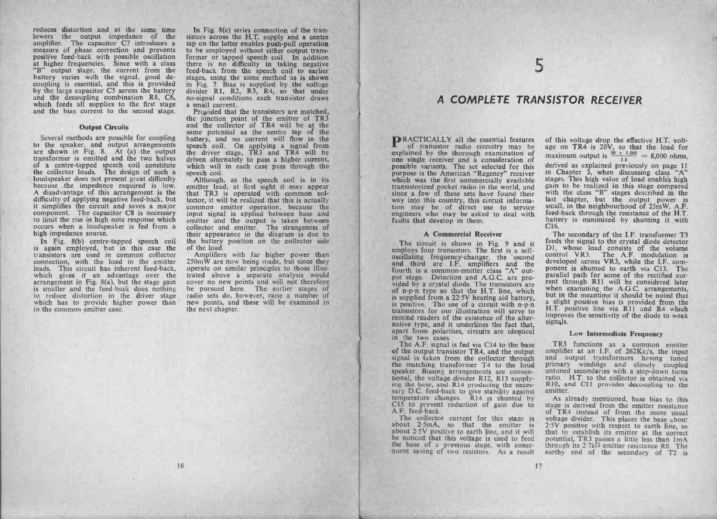reduces distortion and at the same time lowers the output impedance of the reduces distortion and at the same time<br>dowers the output impedance of the<br>amplifier. The capacitor C7 introduces a<br>measure of phase correction and prevents<br>positive feed-back with possible oscillation difference of the multipleration of phase correction and prevents are<br>measure of phase correction and prevents<br>positive feed-back with possible oscillation<br>at higher frequencies. Since with a class<br>"B" output stage, the cu amplifier. The capacitor C7 introduces a<br>measure of phase correction and prevents<br>positive feed-back with possible oscillation<br>at higher frequencies. Since with a class<br>"B" output stage, the current from the<br>battery varies and the decoupling combination  $R8$ ,  $C6$ , which feeds all supplies to the first stage and the bias current to the second stage.<br>Output Circuits

which feeds all supplies to the first stage<br>and the bias current to the second stage.<br>Output Circuits<br>Several methods are possible for coupling<br>to the speaker, and output arrangements<br>transformer is omitted and the two hal Several methods are possible for coupling<br>to the speaker, and output arrangements<br>are shown in Fig. 8. At (a) the output<br>transformer is omitted and the two halves<br>of a centre-tapped speech coil constitute<br>the collector loa to the speaker, and output arrangements<br>are shown in Fig. 8. At (a) the output<br>transformer is omited and the two halves<br>before a centr-tapped speech coil constitute<br>the collector loads. The design of such a<br>loudspeaker doe difficulty because the impedance required is low.<br>A disadvantage of this arrangement is the difficulty of applying negative feed-back, but it simplifies the circuit and aveve a major component. The capacitor C8 is necessar to limit the rise in high note response which<br>occurs when a loudspeaker is fed from a<br>high impedance source. It simplimes the circuit and saves a major<br>to limit the rise in high note response which<br>occurs when a loudspeaker is fed from a<br>high impedance source.<br>In Fig. 8(b) centre-tapped speech coil<br>is again employed, but in this

In Fig. 8(b) centre-tapped speech coil<br>is again employed, but in this case the<br>transistors are used in common collector<br>connection, with the load in the emitter transistors are used in common collector connection, with the load in the emitter<br>leads. This circuit has inherent feed-back, In Fig. 8(b) centre-tapped speech collisted arrangement by edd in the mit case the connection, with the load in the emitter leads. This circuit has inherent feed-back, which gives it an advantage over the farrangement in F leads. This circuit has inherent feed-back, which gives it an advantage over the arrangement in Fig. 8(a), but the stage gain is smaller and the feed-back does nothing to reduce distortion in the driver stage which has to

In Fig. 8(c) series connection of the transitions across the H.T. supply and a centre to be employed without either output transition former or tapped with the other of the series no difficulty in taking negative stages,

### A COMPLETE TRANSISTOR RECEIVER

ا<br>5

**PRACTICALLY** all the essential features of transistor radio circuitry may be **PRACTICALLY** all the essential features<br>of transistor radio circuitry may be<br>explained by the thorough examination of<br>one single receiver and a consideration of **PRACTICALLY** all the essential features<br>explained by the thorough examination of<br>consisted for the set selected for this<br>one single receiver and a consideration of<br>possible variants. The set selected for this one single receiver and a consideration of possible variants. The set selected for this purpose is the first commercially available transistorized pocket radio in the world, and since a few of these sets have found their purpose is the American "Regency" receiver<br>which was the first commercially available<br>transistorized pocket radio in the world, and<br>since a few of these sets have found their<br>tion may be of direct use to service<br>engineers engineers who may be asked to deal with<br>faults that develop in them.<br>A Commercial Receiver In may be of direct use to service<br>gineers who may be asked to deal with<br>list that develop in them.<br>**A Commercial Receiver**<br>The circuit is shown in Fig. 9 and it

The circuit is shown in Fig. 9 and it employs four transistors. The first is a self-oscillating frequency-changer, the 'second and the and the fourth is a common-emitter class "A" outenceptible frequency-changer, the assettance<br>oscillating frequency-changer, the second<br>and third are I.F. amplifiers and the<br>fourth is a common-emitter class "A" out-<br>put stage. Detection and A.G.C. are pro-<br>vided by a cry transistors for our illustration will serve to<br>remind readers of the existence of the alter-<br>native type, and it underlines the fact that **PAACTICALLY** all the essential features of this voltage drop the effective H.T. volt-<br>
and tensied receive that a constrained of maximum ordput is  $\frac{2\pi}{3}$  and  $\frac{1}{2}$  and  $\frac{1}{2}$  and  $\frac{1}{2}$  and  $\frac{1}{2}$  and

transistors for our interaction will serve to<br>remind readers of the existence of the alter-<br>native type, and it underlines the fact that,<br>apart from polarities, circuits are identical<br>in the two cases.<br>The A.F. signal is f The A.F. signal is fed via C14 to the base<br>of the output transistor TR4, and the output<br>signal is taken from the collector through<br>the matching transformer T4 to the loud<br>speaker. Biasing arrangements are conven-<br>ing the v the matching transformer T4 to the loud<br>speaker. Biasing arrangements are conven-<br>tional, the voltage divider R12, R13 supply-<br>ing the base, and R14 producing the neces-<br>sary D.C. feed-back to give stability against<br>C15 to The collector current for the emitted by against temperature changes. R14 is shunted by C15 to prevent reduction of gain due to A.F. feed-back.<br>A.F. feed-back to give stability against temperature changes. R14 is shunted t

The collector current for this stage is<br>about  $2.5mA$ , so that the emitter is<br>about  $2.5V$  positive to earth line, and it will<br>be noticed that this voltage is used to feed ..,\_,.v. be noticed that this voltage is used to feed the base of a previous stage, with conse- quent saving of two resistors. As a result

of this voltage drop the effective H.T. voltage on TR4 is 20V, so that the load for maximum output is  $\frac{20 \times 1.000}{2.5} = 8,000$  ohms, of this voltage drop the effective H.T. voltage on TR4 is 20V, so that the load for maximum output is  $\frac{20 \times 1.000}{2.5} = 8,000$  ohms, derived as explained previously on page 11 in Chapter 3, when discussing class "A" st age on  $1 \text{ K4}$  is  $20 \text{ V}$ , so that the toad for<br>maximum output is  $\frac{20 \times 1,000}{2.5} = 8,000$  ohms,<br>derived as explained previously on page 11<br>in Chapter 3, when discussing class "A"<br>stages. This high value of load en The secondary of the I.F. transformer T3<br>feed-back through the resistance of the H.T.<br>transformer T3 feeds the signal to the crystal diode detector<br>D16.<br>The secondary of the L.F. transformer T3<br>feeds the signal to the crys

feeds the signal to the crystal diode detector<br>D1, whose load consists of the volume<br>control VR3. The A.F. modulation is<br>developed across VR3, while the I.F. com-<br>ponent is shunted to earth via C13. The parallel path for some of the rectified cur-<br>rent through R11 will be considered later<br>when examining the A.G.C. arrangements,<br>but in the meantime it should be noted that<br>a slight positive bias is provided from the ponent is shunted to earth via C13. The<br>parallel path for some of the rectified cur-<br>rent through R11 will be considered later-<br>when examining the A.G.C. arrangements,<br>but in the meantime it should be noted that<br>H.T. posit signals.t positive bias is provided for<br>ositive line via R11 and R<br>es the sensitivity of the diode<br>Low Intermediate Frequency improves the sensitivity of the diode to weak<br>signals.<br>Low Intermediate Frequency<br>TR3 functions as a common emitter

signals.<br>
Low Intermediate Frequency<br>
TR3 functions as a common emitter<br>
amplifier at an I.F. of 262Kc/s, the input<br>
and output transformers having tuned Low Intermediate Frequency<br>
TR3 functions as a common emitter<br>
amplifier at an I.F. of 262Kc/s, the input<br>
and output transformers having tuned<br>
untuned secondaries with a step-down turns<br>
ratio. H.T. to the collector is o and output transformers and cutput transformers having tuned<br>primary windings and closely coupled<br>untuned secondaries with a step-down turns<br>ratio. H.T. to the collector is obtained via<br>RIO, and C11 provides decoupling to untuned secondaries with a step-down turns<br>
ratio. H.T. to the collector is obtained via<br>
R10, and C11 provides decoupling to the<br>
emitter.<br>
As already mentioned, base bias to this<br>
stage is derived from the emitter resist

emitter. As already mentioned, base bias to this stage is derived from the emitter resistance of TR4 instead of from the more usual voltage divide, so the base so the correct to earth line, so that to establish its emitter potential, TR3 passes a little less than  $1 \text{ mA}$  through its 2.7k $\Omega$  emitter resistance R8. The earthy end of the secondary of T2 is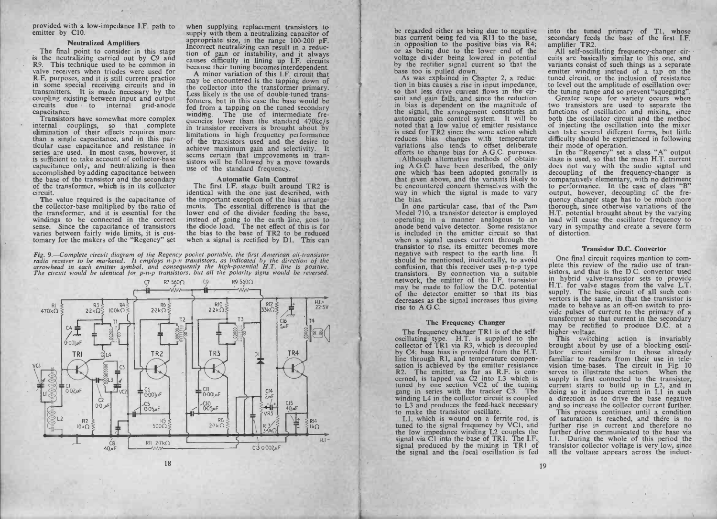provided with a low-impedance I.F. path to emitter by C10. ith a low-impedance I<br>C10.<br>Neutralized Amplifiers

Final point to consider in this stage<br>
is the neutralizing carried out by C9 and<br>
R9. This technique used to be common in valve receivers when triodes were used for R.F. purposes, and it is still current practice in some special receiving circuits and in transmitters. It is made necessary by the coupling existing between input and output R.F. purposes, and it is still current practice<br>in some special receiving circuits and in<br>transmitters. It is made necessary by the<br>coupling existing between input and output<br>circuits due to internal grid anode<br>capacitance

in some special receiving circuits and in<br>transmitters. It is made necessary by the<br>coupling existing between input and output<br>circuits due to internal grid-anode<br>capacitance.<br>Transistors have somewhat more complex<br>interna the and a single capacitance, and in this particular case capacitance in<br>series are used. In most cases, however, it<br>is sufficient to take account of collector-base<br>capacitance only, and neutralizing is then<br>accomplished b

circuit.<br>
The base of the transistor and the secondary<br>
of the transformer, which is in its collector<br>
circuit.<br>
The value required is the capacitance of<br>
the collector-base multiplied by the ratio of<br>
the transformer, and

provided with a low-impedance I.F. path to when supplying replacement transistors to contributed Maplifiers supplying incorrect neutralizing cancels in the state of the electrical particle of the matter of the matter of t

varies between fairly wide limits, it is cus-<br>the bias to the base of TR2 to be reduced<br>tomary for the makers of the "Regency" set when a signal is rectified by D1. This can<br>ratio receiver to be marketed. It employs n-p-n mploys *n*-p-*n* transistors, as indicate<br>and consequently the high-potenti<br>*n*-p transistors, but all the polarity<br> $C_7$  R7 560 $\Omega$  C9 R9 560C



to the regarded cither as being due to negative it is the base, contributed on the base of the state of the state of the base of the base of the state of the state of the base of the state of the state of the state of the

into the tuned primary of T1, whose<br>secondary feeds the base of the first LF.<br>amplifier TR2.<br>amplifier TC2<br>amplifier to this consist of such things are assessed to the first LF.<br>all self-oscillating frequency-changer cir-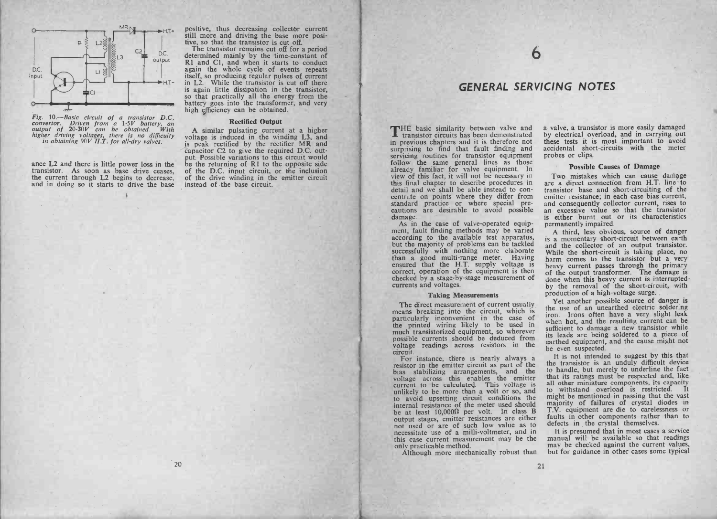

Fig. 10.—Basic circuit of a transistor D.C.<br>
convertor. Driven from a 1.5V battery, an<br>
output of 20.30V can be obtained. With<br>
higher driving voltages, there is no difficulty<br>
in obtaining 90V H.T. for all-dry valves.

Figure driving voltages, there is no difficulty<br>in obtaining  $90V$  H.T. for all-dry valves.<br>ance L2 and there is little power loss in the<br>transistor. As soon as base drive ceases,<br>the current through L2 begins to decrease

positive, thus decreasing collector current<br>still more and driving the base more posi-<br>tive, so that the transistor is ust off. The capitol<br>determined mainly by the time-constant of<br>deraind family by the time-constant of<br>a

## GENERAL SERVICING NOTES

 $\frac{1}{6}$ 

THE basic similarity between valve and transistor circuits has been demonstrated THE basic similarity between valve and<br>transistor circuits has been demonstrated<br>in previous chapters and it is therefore not THE basic similarity between valve and<br>transistor circuits has been demonstrated<br>in previous chapters and it is therefore not<br>surprising to find that fault finding and<br>servicing routines for transistor equipment **THE** basic similarity between valve and transistor circuits has been demonstrated surprising to find that fault finaling and follow the same general lines as those already familiar for valve equipment. In view of this fac **L** transistor circuits has been demonstrated<br>in previous chapters and it is therefore not<br>servicing routines for transistor equipment<br>follow the same general lines as those<br>already familiar for valve equipment. In<br>view o

denticate of points where they differ from<br>standard practice or where special pre-<br>cautions are desirable to avoid possible<br>damage.<br>As in the case of valve-operated equip-<br>ment, fault finding methods may be varied<br>accordin damage.<br>Successfully more elaborate than a good multi finding more than a good multi a good multi a good multi-range meter. Having ensured than a good multi-range meter. Having ensured that the H.T. supply voltage is corre than a good multi-range meter. Having<br>ensured that the H.T. supply voltage is<br>correct, operation of the equipment is then<br>checked by a stage-by-stage measurement of<br>currents and voltages. correct, operation of the equipment is then<br>checked by a stage-by-stage measurement of<br>currents and voltages.<br>Taking Measurements

The direct measurements<br>The direct measurements<br>The direct measurement of current usually<br>particularly inconvenient in the case of<br>the printed wiring likely to be used in<br>much transistorized equipment, so wherever The direct measurement of current usually<br>means breaking into the circuit, which is<br>particularly inconvenient in the case of<br>the printed wiring likely to be used in<br>much transistorized equipment, so wherever<br>possible curre voltage readings across resistors in the circuit. the printed wiring likely to be used in<br>much transistorized equipment, so wherever<br>possible currents should be deduced from<br>voltage readings across resistors in the<br>circuit.<br>For instance, there is nearly always a<br>resistor

possible currents should be deduced from<br>voltage readings across resistors in the<br>circuit.<br>For instance, there is nearly always a<br>resistor in the emitter circuit as part of the<br>bias stabilizing arrangements, and the voltage across the emitter current to be calculated. This voltage across the emitter current to be calculated. This voltage is unlikely to be more than a volt or so, and resistor in the emitter circuit as part of the<br>bias stabilizing arrangements, and the<br>voltage across this enables the emitter<br>current to be calculated. This voltage is<br>unlikely to be more than a volt or so, and<br>the meter u For instance, there is nearly always a<br>resistor in the emitter circuit as part of the<br>bias stabilizing arrangements, and the<br>current to be calculated. This voltage is<br>unlikely to be more than a volt or so, and<br>to avoid up necessitate use of the meter used should<br>internal resistance of the meter used should<br>be at least 10,0000 per volt. In class B<br>output stages, emitter resistances are either<br>not used or are of such low value as to<br>necessita internal resistance of the meter used should<br>be at least 10,000 $\Omega$  per volt. In class B<br>not used or are of such low value as to<br>necessitate use of a milli-voltmeter, and in<br>this case current measurement may be the necessitate use of a milli-voltmeter, and in<br>this case current measurement may be the<br>only practicable method.<br>Although more mechanically robust than

a valve, a transistor is more easily damaged<br>by electrical overload, and in carrying out<br>bese tests it is most important to avoid<br>accidental short-circuits with the meter<br>probes or clips.<br>**Payer and incredict and in the m**